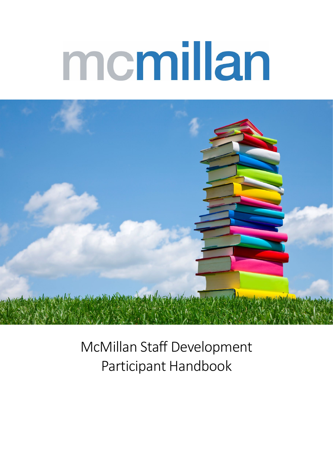# memillan



McMillan Staff Development Participant Handbook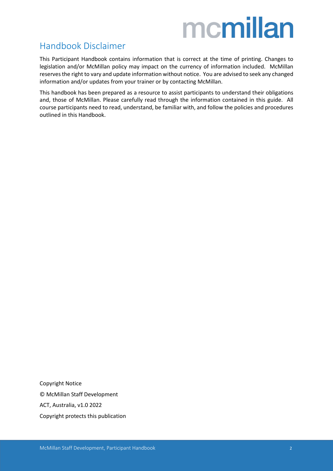### <span id="page-1-0"></span>Handbook Disclaimer

This Participant Handbook contains information that is correct at the time of printing. Changes to legislation and/or McMillan policy may impact on the currency of information included. McMillan reserves the right to vary and update information without notice. You are advised to seek any changed information and/or updates from your trainer or by contacting McMillan.

This handbook has been prepared as a resource to assist participants to understand their obligations and, those of McMillan. Please carefully read through the information contained in this guide. All course participants need to read, understand, be familiar with, and follow the policies and procedures outlined in this Handbook.

Copyright Notice © McMillan Staff Development ACT, Australia, v1.0 2022 Copyright protects this publication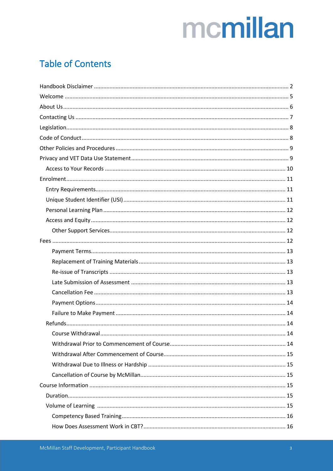### **Table of Contents**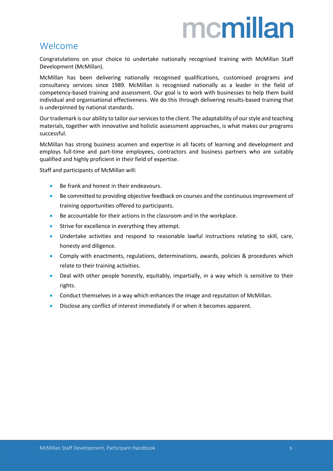### <span id="page-4-0"></span>Welcome

Congratulations on your choice to undertake nationally recognised training with McMillan Staff Development (McMillan).

McMillan has been delivering nationally recognised qualifications, customised programs and consultancy services since 1989. McMillan is recognised nationally as a leader in the field of competency-based training and assessment. Our goal is to work with businesses to help them build individual and organisational effectiveness. We do this through delivering results-based training that is underpinned by national standards.

Our trademark is our ability to tailor our services to the client. The adaptability of our style and teaching materials, together with innovative and holistic assessment approaches, is what makes our programs successful.

McMillan has strong business acumen and expertise in all facets of learning and development and employs full-time and part-time employees, contractors and business partners who are suitably qualified and highly proficient in their field of expertise.

Staff and participants of McMillan will:

- Be frank and honest in their endeavours.
- Be committed to providing objective feedback on courses and the continuous improvement of training opportunities offered to participants.
- Be accountable for their actions in the classroom and in the workplace.
- Strive for excellence in everything they attempt.
- Undertake activities and respond to reasonable lawful instructions relating to skill, care, honesty and diligence.
- Comply with enactments, regulations, determinations, awards, policies & procedures which relate to their training activities.
- Deal with other people honestly, equitably, impartially, in a way which is sensitive to their rights.
- Conduct themselves in a way which enhances the image and reputation of McMillan.
- Disclose any conflict of interest immediately if or when it becomes apparent.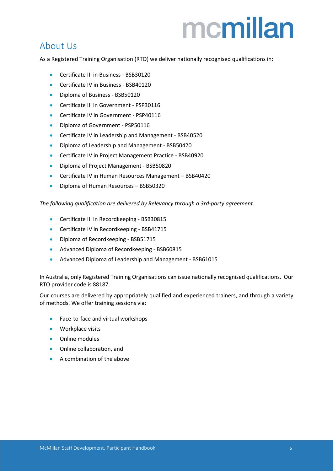### <span id="page-5-0"></span>About Us

As a Registered Training Organisation (RTO) we deliver nationally recognised qualifications in:

- Certificate III in Business BSB30120
- Certificate IV in Business BSB40120
- Diploma of Business BSB50120
- Certificate III in Government PSP30116
- Certificate IV in Government PSP40116
- Diploma of Government PSP50116
- Certificate IV in Leadership and Management BSB40520
- Diploma of Leadership and Management BSB50420
- Certificate IV in Project Management Practice BSB40920
- Diploma of Project Management BSB50820
- Certificate IV in Human Resources Management BSB40420
- Diploma of Human Resources BSB50320

*The following qualification are delivered by Relevancy through a 3rd-party agreement.*

- Certificate III in Recordkeeping BSB30815
- Certificate IV in Recordkeeping BSB41715
- Diploma of Recordkeeping BSB51715
- Advanced Diploma of Recordkeeping BSB60815
- Advanced Diploma of Leadership and Management BSB61015

In Australia, only Registered Training Organisations can issue nationally recognised qualifications. Our RTO provider code is 88187.

Our courses are delivered by appropriately qualified and experienced trainers, and through a variety of methods. We offer training sessions via:

- Face-to-face and virtual workshops
- Workplace visits
- Online modules
- Online collaboration, and
- A combination of the above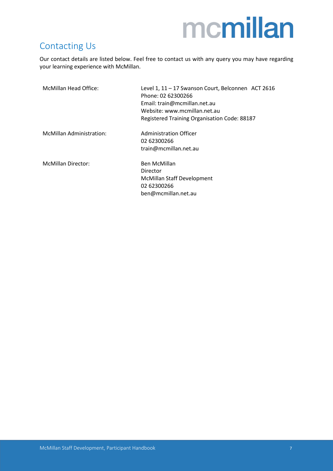### <span id="page-6-0"></span>Contacting Us

Our contact details are listed below. Feel free to contact us with any query you may have regarding your learning experience with McMillan.

| McMillan Head Office:     | Level 1, 11 - 17 Swanson Court, Belconnen ACT 2616<br>Phone: 02 62300266<br>Email: train@mcmillan.net.au<br>Website: www.mcmillan.net.au<br>Registered Training Organisation Code: 88187 |
|---------------------------|------------------------------------------------------------------------------------------------------------------------------------------------------------------------------------------|
| McMillan Administration:  | Administration Officer<br>02 62300266<br>train@mcmillan.net.au                                                                                                                           |
| <b>McMillan Director:</b> | Ben McMillan<br>Director<br>McMillan Staff Development<br>02 62300266<br>ben@mcmillan.net.au                                                                                             |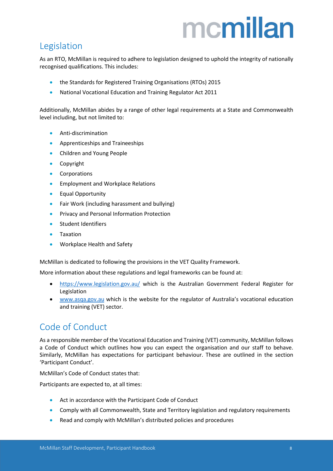### <span id="page-7-0"></span>Legislation

As an RTO, McMillan is required to adhere to legislation designed to uphold the integrity of nationally recognised qualifications. This includes:

- the Standards for Registered Training Organisations (RTOs) 2015
- National Vocational Education and Training Regulator Act 2011

Additionally, McMillan abides by a range of other legal requirements at a State and Commonwealth level including, but not limited to:

- Anti-discrimination
- Apprenticeships and Traineeships
- Children and Young People
- Copyright
- Corporations
- Employment and Workplace Relations
- Equal Opportunity
- Fair Work (including harassment and bullying)
- Privacy and Personal Information Protection
- Student Identifiers
- Taxation
- Workplace Health and Safety

McMillan is dedicated to following the provisions in the VET Quality Framework.

More information about these regulations and legal frameworks can be found at:

- <https://www.legislation.gov.au/> which is the Australian Government Federal Register for Legislation
- [www.asqa.gov.au](http://www.asqa.gov.au/) which is the website for the regulator of Australia's vocational education and training (VET) sector.

### <span id="page-7-1"></span>Code of Conduct

As a responsible member of the Vocational Education and Training (VET) community, McMillan follows a Code of Conduct which outlines how you can expect the organisation and our staff to behave. Similarly, McMillan has expectations for participant behaviour. These are outlined in the section 'Participant Conduct'.

McMillan's Code of Conduct states that:

Participants are expected to, at all times:

- Act in accordance with the Participant Code of Conduct
- Comply with all Commonwealth, State and Territory legislation and regulatory requirements
- Read and comply with McMillan's distributed policies and procedures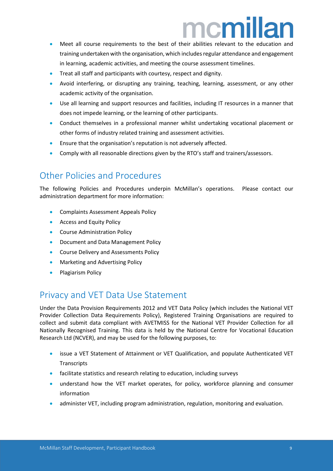- Meet all course requirements to the best of their abilities relevant to the education and training undertaken with the organisation, which includes regular attendance and engagement in learning, academic activities, and meeting the course assessment timelines.
- Treat all staff and participants with courtesy, respect and dignity.
- Avoid interfering, or disrupting any training, teaching, learning, assessment, or any other academic activity of the organisation.
- Use all learning and support resources and facilities, including IT resources in a manner that does not impede learning, or the learning of other participants.
- Conduct themselves in a professional manner whilst undertaking vocational placement or other forms of industry related training and assessment activities.
- Ensure that the organisation's reputation is not adversely affected.
- Comply with all reasonable directions given by the RTO's staff and trainers/assessors.

### <span id="page-8-0"></span>Other Policies and Procedures

The following Policies and Procedures underpin McMillan's operations. Please contact our administration department for more information:

- Complaints Assessment Appeals Policy
- Access and Equity Policy
- Course Administration Policy
- Document and Data Management Policy
- Course Delivery and Assessments Policy
- Marketing and Advertising Policy
- Plagiarism Policy

### <span id="page-8-1"></span>Privacy and VET Data Use Statement

Under the Data Provision Requirements 2012 and VET Data Policy (which includes the National VET Provider Collection Data Requirements Policy), Registered Training Organisations are required to collect and submit data compliant with AVETMISS for the National VET Provider Collection for all Nationally Recognised Training. This data is held by the National Centre for Vocational Education Research Ltd (NCVER), and may be used for the following purposes, to:

- issue a VET Statement of Attainment or VET Qualification, and populate Authenticated VET **Transcripts**
- facilitate statistics and research relating to education, including surveys
- understand how the VET market operates, for policy, workforce planning and consumer information
- administer VET, including program administration, regulation, monitoring and evaluation.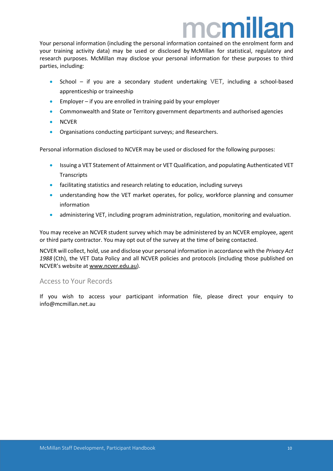### ncm

Your personal information (including the personal information contained on the enrolment form and your training activity data) may be used or disclosed by McMillan for statistical, regulatory and research purposes. McMillan may disclose your personal information for these purposes to third parties, including:

- School if you are a secondary student undertaking VET, including a school-based apprenticeship or traineeship
- Employer if you are enrolled in training paid by your employer
- Commonwealth and State or Territory government departments and authorised agencies
- NCVER
- Organisations conducting participant surveys; and Researchers.

Personal information disclosed to NCVER may be used or disclosed for the following purposes:

- Issuing a VET Statement of Attainment or VET Qualification, and populating Authenticated VET **Transcripts**
- facilitating statistics and research relating to education, including surveys
- understanding how the VET market operates, for policy, workforce planning and consumer information
- administering VET, including program administration, regulation, monitoring and evaluation.

You may receive an NCVER student survey which may be administered by an NCVER employee, agent or third party contractor. You may opt out of the survey at the time of being contacted.

NCVER will collect, hold, use and disclose your personal information in accordance with the *Privacy Act 1988* (Cth), the VET Data Policy and all NCVER policies and protocols (including those published on NCVER's website at [www.ncver.edu.au\)](http://www.ncver.edu.au/).

#### <span id="page-9-0"></span>Access to Your Records

If you wish to access your participant information file, please direct your enquiry to info@mcmillan.net.au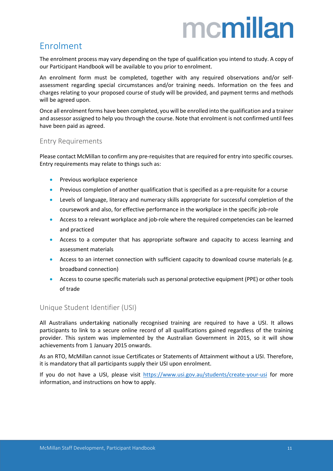### <span id="page-10-0"></span>Enrolment

The enrolment process may vary depending on the type of qualification you intend to study. A copy of our Participant Handbook will be available to you prior to enrolment.

An enrolment form must be completed, together with any required observations and/or selfassessment regarding special circumstances and/or training needs. Information on the fees and charges relating to your proposed course of study will be provided, and payment terms and methods will be agreed upon.

Once all enrolment forms have been completed, you will be enrolled into the qualification and a trainer and assessor assigned to help you through the course. Note that enrolment is not confirmed until fees have been paid as agreed.

#### <span id="page-10-1"></span>Entry Requirements

Please contact McMillan to confirm any pre-requisites that are required for entry into specific courses. Entry requirements may relate to things such as:

- Previous workplace experience
- Previous completion of another qualification that is specified as a pre-requisite for a course
- Levels of language, literacy and numeracy skills appropriate for successful completion of the coursework and also, for effective performance in the workplace in the specific job-role
- Access to a relevant workplace and job-role where the required competencies can be learned and practiced
- Access to a computer that has appropriate software and capacity to access learning and assessment materials
- Access to an internet connection with sufficient capacity to download course materials (e.g. broadband connection)
- Access to course specific materials such as personal protective equipment (PPE) or other tools of trade

#### <span id="page-10-2"></span>Unique Student Identifier (USI)

All Australians undertaking nationally recognised training are required to have a USI. It allows participants to link to a secure online record of all qualifications gained regardless of the training provider. This system was implemented by the Australian Government in 2015, so it will show achievements from 1 January 2015 onwards.

As an RTO, McMillan cannot issue Certificates or Statements of Attainment without a USI. Therefore, it is mandatory that all participants supply their USI upon enrolment.

If you do not have a USI, please visit <https://www.usi.gov.au/students/create-your-usi> for more information, and instructions on how to apply.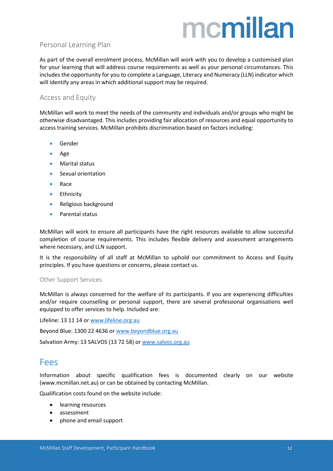#### <span id="page-11-0"></span>Personal Learning Plan

As part of the overall enrolment process, McMillan will work with you to develop a customised plan for your learning that will address course requirements as well as your personal circumstances. This includes the opportunity for you to complete a Language, Literacy and Numeracy (LLN) indicator which will identify any areas in which additional support may be required.

#### <span id="page-11-1"></span>Access and Equity

McMillan will work to meet the needs of the community and individuals and/or groups who might be otherwise disadvantaged. This includes providing fair allocation of resources and equal opportunity to access training services. McMillan prohibits discrimination based on factors including:

- Gender
- Age
- Marital status
- Sexual orientation
- Race
- Ethnicity
- Religious background
- Parental status

McMillan will work to ensure all participants have the right resources available to allow successful completion of course requirements. This includes flexible delivery and assessment arrangements where necessary, and LLN support.

It is the responsibility of all staff at McMillan to uphold our commitment to Access and Equity principles. If you have questions or concerns, please contact us.

#### <span id="page-11-2"></span>Other Support Services

McMillan is always concerned for the welfare of its participants. If you are experiencing difficulties and/or require counselling or personal support, there are several professional organisations well equipped to offer services to help. Included are:

Lifeline: 13 11 14 o[r www.lifeline.org.au](http://www.lifeline.org.au/)

Beyond Blue: 1300 22 4636 o[r www.beyondblue.org.au](http://www.beyondblue.org.au/)

Salvation Army: 13 SALVOS (13 72 58) or [www.salvos.org.au](http://www.salvos.org.au/)

### <span id="page-11-3"></span>Fees

Information about specific qualification fees is documented clearly on our website (www.mcmillan.net.au) or can be obtained by contacting McMillan.

Qualification costs found on the website include:

- learning resources
- assessment
- phone and email support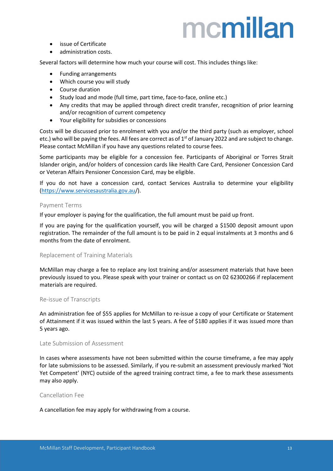- issue of Certificate
- administration costs.

Several factors will determine how much your course will cost. This includes things like:

- Funding arrangements
- Which course you will study
- Course duration
- Study load and mode (full time, part time, face-to-face, online etc.)
- Any credits that may be applied through direct credit transfer, recognition of prior learning and/or recognition of current competency
- Your eligibility for subsidies or concessions

Costs will be discussed prior to enrolment with you and/or the third party (such as employer, school etc.) who will be paying the fees. All fees are correct as of 1<sup>st</sup> of January 2022 and are subject to change. Please contact McMillan if you have any questions related to course fees.

Some participants may be eligible for a concession fee. Participants of Aboriginal or Torres Strait Islander origin, and/or holders of concession cards like Health Care Card, Pensioner Concession Card or Veteran Affairs Pensioner Concession Card, may be eligible.

If you do not have a concession card, contact Services Australia to determine your eligibility [\(https://www.servicesaustralia.gov.au/](https://www.servicesaustralia.gov.au/)).

#### <span id="page-12-0"></span>Payment Terms

If your employer is paying for the qualification, the full amount must be paid up front.

If you are paying for the qualification yourself, you will be charged a \$1500 deposit amount upon registration. The remainder of the full amount is to be paid in 2 equal instalments at 3 months and 6 months from the date of enrolment.

#### <span id="page-12-1"></span>Replacement of Training Materials

McMillan may charge a fee to replace any lost training and/or assessment materials that have been previously issued to you. Please speak with your trainer or contact us on 02 62300266 if replacement materials are required.

#### <span id="page-12-2"></span>Re-issue of Transcripts

An administration fee of \$55 applies for McMillan to re-issue a copy of your Certificate or Statement of Attainment if it was issued within the last 5 years. A fee of \$180 applies if it was issued more than 5 years ago.

#### <span id="page-12-3"></span>Late Submission of Assessment

In cases where assessments have not been submitted within the course timeframe, a fee may apply for late submissions to be assessed. Similarly, if you re-submit an assessment previously marked 'Not Yet Competent' (NYC) outside of the agreed training contract time, a fee to mark these assessments may also apply.

#### <span id="page-12-4"></span>Cancellation Fee

A cancellation fee may apply for withdrawing from a course.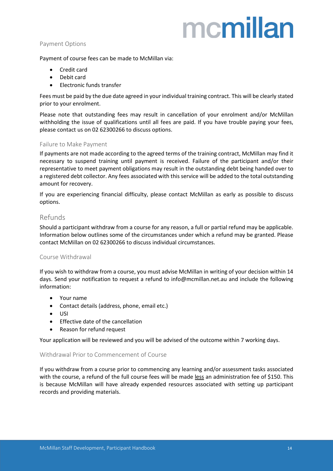#### <span id="page-13-0"></span>Payment Options

Payment of course fees can be made to McMillan via:

- Credit card
- Debit card
- Electronic funds transfer

Fees must be paid by the due date agreed in your individual training contract. This will be clearly stated prior to your enrolment.

Please note that outstanding fees may result in cancellation of your enrolment and/or McMillan withholding the issue of qualifications until all fees are paid. If you have trouble paying your fees, please contact us on 02 62300266 to discuss options.

#### <span id="page-13-1"></span>Failure to Make Payment

If payments are not made according to the agreed terms of the training contract, McMillan may find it necessary to suspend training until payment is received. Failure of the participant and/or their representative to meet payment obligations may result in the outstanding debt being handed over to a registered debt collector. Any fees associated with this service will be added to the total outstanding amount for recovery.

If you are experiencing financial difficulty, please contact McMillan as early as possible to discuss options.

#### <span id="page-13-2"></span>Refunds

Should a participant withdraw from a course for any reason, a full or partial refund may be applicable. Information below outlines some of the circumstances under which a refund may be granted. Please contact McMillan on 02 62300266 to discuss individual circumstances.

#### <span id="page-13-3"></span>Course Withdrawal

If you wish to withdraw from a course, you must advise McMillan in writing of your decision within 14 days. Send your notification to request a refund to info@mcmillan.net.au and include the following information:

- Your name
- Contact details (address, phone, email etc.)
- USI
- Effective date of the cancellation
- Reason for refund request

Your application will be reviewed and you will be advised of the outcome within 7 working days.

#### <span id="page-13-4"></span>Withdrawal Prior to Commencement of Course

If you withdraw from a course prior to commencing any learning and/or assessment tasks associated with the course, a refund of the full course fees will be made less an administration fee of \$150. This is because McMillan will have already expended resources associated with setting up participant records and providing materials.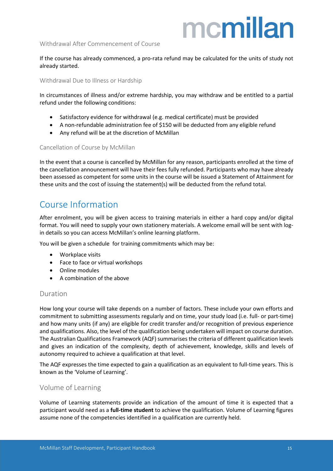#### <span id="page-14-0"></span>Withdrawal After Commencement of Course

If the course has already commenced, a pro-rata refund may be calculated for the units of study not already started.

<span id="page-14-1"></span>Withdrawal Due to Illness or Hardship

In circumstances of illness and/or extreme hardship, you may withdraw and be entitled to a partial refund under the following conditions:

- Satisfactory evidence for withdrawal (e.g. medical certificate) must be provided
- A non-refundable administration fee of \$150 will be deducted from any eligible refund
- Any refund will be at the discretion of McMillan

#### <span id="page-14-2"></span>Cancellation of Course by McMillan

In the event that a course is cancelled by McMillan for any reason, participants enrolled at the time of the cancellation announcement will have their fees fully refunded. Participants who may have already been assessed as competent for some units in the course will be issued a Statement of Attainment for these units and the cost of issuing the statement(s) will be deducted from the refund total.

### <span id="page-14-3"></span>Course Information

After enrolment, you will be given access to training materials in either a hard copy and/or digital format. You will need to supply your own stationery materials. A welcome email will be sent with login details so you can access McMillan's online learning platform.

You will be given a schedule for training commitments which may be:

- Workplace visits
- Face to face or virtual workshops
- Online modules
- A combination of the above

#### <span id="page-14-4"></span>Duration

How long your course will take depends on a number of factors. These include your own efforts and commitment to submitting assessments regularly and on time, your study load (i.e. full- or part-time) and how many units (if any) are eligible for credit transfer and/or recognition of previous experience and qualifications. Also, the level of the qualification being undertaken will impact on course duration. The Australian Qualifications Framework (AQF) summarises the criteria of different qualification levels and gives an indication of the complexity, depth of achievement, knowledge, skills and levels of autonomy required to achieve a qualification at that level.

The AQF expresses the time expected to gain a qualification as an equivalent to full-time years. This is known as the 'Volume of Learning'.

#### <span id="page-14-5"></span>Volume of Learning

Volume of Learning statements provide an indication of the amount of time it is expected that a participant would need as a **full-time student** to achieve the qualification. Volume of Learning figures assume none of the competencies identified in a qualification are currently held.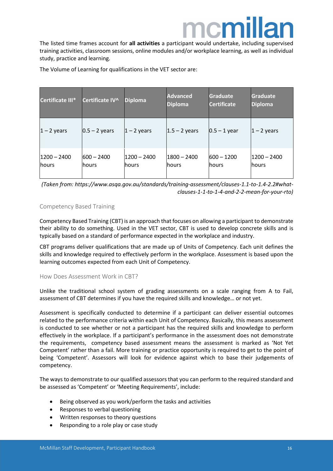### ncm

The listed time frames account for **all activities** a participant would undertake, including supervised training activities, classroom sessions, online modules and/or workplace learning, as well as individual study, practice and learning.

| <b>Certificate III*</b>        | Certificate IV^        | <b>Diploma</b>                 | <b>Advanced</b><br><b>Diploma</b> | <b>Graduate</b><br><b>Certificate</b> | <b>Graduate</b><br><b>Diploma</b> |
|--------------------------------|------------------------|--------------------------------|-----------------------------------|---------------------------------------|-----------------------------------|
| $1 - 2$ years                  | $0.5 - 2$ years        | $ 1 - 2$ years                 | $ 1.5 - 2$ years                  | $0.5 - 1$ year                        | $1 - 2$ years                     |
| $1200 - 2400$<br><b>lhours</b> | $600 - 2400$<br>lhours | $1200 - 2400$<br><b>lhours</b> | $1800 - 2400$<br>lhours           | $600 - 1200$<br><b>lhours</b>         | 1200 – 2400<br>lhours             |

The Volume of Learning for qualifications in the VET sector are:

*(Taken from: https://www.asqa.gov.au/standards/training-assessment/clauses-1.1-to-1.4-2.2#whatclauses-1-1-to-1-4-and-2-2-mean-for-your-rto)*

#### <span id="page-15-0"></span>Competency Based Training

Competency Based Training (CBT) is an approach that focuses on allowing a participant to demonstrate their ability to do something. Used in the VET sector, CBT is used to develop concrete skills and is typically based on a standard of performance expected in the workplace and industry.

CBT programs deliver qualifications that are made up of Units of Competency. Each unit defines the skills and knowledge required to effectively perform in the workplace. Assessment is based upon the learning outcomes expected from each Unit of Competency.

#### <span id="page-15-1"></span>How Does Assessment Work in CBT?

Unlike the traditional school system of grading assessments on a scale ranging from A to Fail, assessment of CBT determines if you have the required skills and knowledge… or not yet.

Assessment is specifically conducted to determine if a participant can deliver essential outcomes related to the performance criteria within each Unit of Competency. Basically, this means assessment is conducted to see whether or not a participant has the required skills and knowledge to perform effectively in the workplace. If a participant's performance in the assessment does not demonstrate the requirements, competency based assessment means the assessment is marked as 'Not Yet Competent' rather than a fail. More training or practice opportunity is required to get to the point of being 'Competent'. Assessors will look for evidence against which to base their judgements of competency.

The ways to demonstrate to our qualified assessors that you can perform to the required standard and be assessed as 'Competent' or 'Meeting Requirements', include:

- Being observed as you work/perform the tasks and activities
- Responses to verbal questioning
- Written responses to theory questions
- Responding to a role play or case study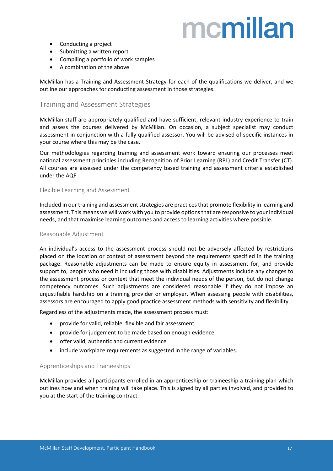- Conducting a project
- Submitting a written report
- Compiling a portfolio of work samples
- A combination of the above

McMillan has a Training and Assessment Strategy for each of the qualifications we deliver, and we outline our approaches for conducting assessment in those strategies.

#### <span id="page-16-0"></span>Training and Assessment Strategies

McMillan staff are appropriately qualified and have sufficient, relevant industry experience to train and assess the courses delivered by McMillan. On occasion, a subject specialist may conduct assessment in conjunction with a fully qualified assessor. You will be advised of specific instances in your course where this may be the case.

Our methodologies regarding training and assessment work toward ensuring our processes meet national assessment principles including Recognition of Prior Learning (RPL) and Credit Transfer (CT). All courses are assessed under the competency based training and assessment criteria established under the AQF.

#### <span id="page-16-1"></span>Flexible Learning and Assessment

Included in our training and assessment strategies are practicesthat promote flexibility in learning and assessment. This means we will work with you to provide options that are responsive to your individual needs, and that maximise learning outcomes and access to learning activities where possible.

#### <span id="page-16-2"></span>Reasonable Adjustment

An individual's access to the assessment process should not be adversely affected by restrictions placed on the location or context of assessment beyond the requirements specified in the training package. Reasonable adjustments can be made to ensure equity in assessment for, and provide support to, people who need it including those with disabilities. Adjustments include any changes to the assessment process or context that meet the individual needs of the person, but do not change competency outcomes. Such adjustments are considered reasonable if they do not impose an unjustifiable hardship on a training provider or employer. When assessing people with disabilities, assessors are encouraged to apply good practice assessment methods with sensitivity and flexibility.

Regardless of the adjustments made, the assessment process must:

- provide for valid, reliable, flexible and fair assessment
- provide for judgement to be made based on enough evidence
- offer valid, authentic and current evidence
- include workplace requirements as suggested in the range of variables.

#### <span id="page-16-3"></span>Apprenticeships and Traineeships

McMillan provides all participants enrolled in an apprenticeship or traineeship a training plan which outlines how and when training will take place. This is signed by all parties involved, and provided to you at the start of the training contract.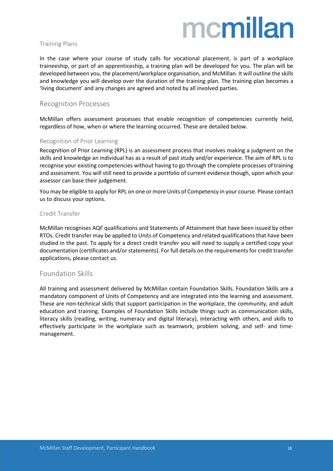#### <span id="page-17-0"></span>Training Plans

In the case where your course of study calls for vocational placement, is part of a workplace traineeship, or part of an apprenticeship, a training plan will be developed for you. The plan will be developed between you, the placement/workplace organisation, and McMillan. It will outline the skills and knowledge you will develop over the duration of the training plan. The training plan becomes a 'living document' and any changes are agreed and noted by all involved parties.

#### <span id="page-17-1"></span>Recognition Processes

McMillan offers assessment processes that enable recognition of competencies currently held, regardless of how, when or where the learning occurred. These are detailed below.

#### <span id="page-17-2"></span>Recognition of Prior Learning

Recognition of Prior Learning (RPL) is an assessment process that involves making a judgment on the skills and knowledge an individual has as a result of past study and/or experience. The aim of RPL is to recognise your existing competencies without having to go through the complete processes of training and assessment. You will still need to provide a portfolio of current evidence though, upon which your assessor can base their judgement.

You may be eligible to apply for RPL on one or more Units of Competency in your course. Please contact us to discuss your options.

#### <span id="page-17-3"></span>Credit Transfer

McMillan recognises AQF qualifications and Statements of Attainment that have been issued by other RTOs. Credit transfer may be applied to Units of Competency and related qualifications that have been studied in the past. To apply for a direct credit transfer you will need to supply a certified copy your documentation (certificates and/or statements). For full details on the requirements for credit transfer applications, please contact us.

#### <span id="page-17-4"></span>Foundation Skills

All training and assessment delivered by McMillan contain Foundation Skills. Foundation Skills are a mandatory component of Units of Competency and are integrated into the learning and assessment. These are non-technical skills that support participation in the workplace, the community, and adult education and training. Examples of Foundation Skills include things such as communication skills, literacy skills (reading, writing, numeracy and digital literacy), interacting with others, and skills to effectively participate in the workplace such as teamwork, problem solving, and self- and timemanagement.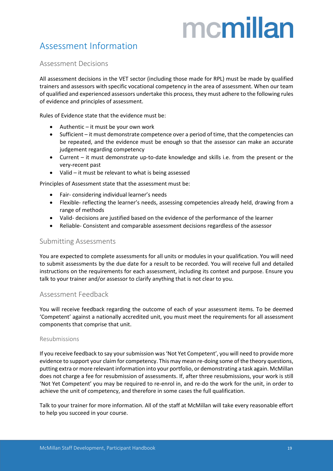### <span id="page-18-0"></span>Assessment Information

#### <span id="page-18-1"></span>Assessment Decisions

All assessment decisions in the VET sector (including those made for RPL) must be made by qualified trainers and assessors with specific vocational competency in the area of assessment. When our team of qualified and experienced assessors undertake this process, they must adhere to the following rules of evidence and principles of assessment.

Rules of Evidence state that the evidence must be:

- Authentic it must be your own work
- Sufficient it must demonstrate competence over a period of time, that the competencies can be repeated, and the evidence must be enough so that the assessor can make an accurate judgement regarding competency
- Current it must demonstrate up-to-date knowledge and skills i.e. from the present or the very-recent past
- Valid it must be relevant to what is being assessed

Principles of Assessment state that the assessment must be:

- Fair- considering individual learner's needs
- Flexible- reflecting the learner's needs, assessing competencies already held, drawing from a range of methods
- Valid- decisions are justified based on the evidence of the performance of the learner
- Reliable- Consistent and comparable assessment decisions regardless of the assessor

#### <span id="page-18-2"></span>Submitting Assessments

You are expected to complete assessments for all units or modules in your qualification. You will need to submit assessments by the due date for a result to be recorded. You will receive full and detailed instructions on the requirements for each assessment, including its context and purpose. Ensure you talk to your trainer and/or assessor to clarify anything that is not clear to you.

#### <span id="page-18-3"></span>Assessment Feedback

You will receive feedback regarding the outcome of each of your assessment items. To be deemed 'Competent' against a nationally accredited unit, you must meet the requirements for all assessment components that comprise that unit.

#### <span id="page-18-4"></span>Resubmissions

If you receive feedback to say your submission was 'Not Yet Competent', you will need to provide more evidence to support your claim for competency. This may mean re-doing some of the theory questions, putting extra or more relevant information into your portfolio, or demonstrating a task again. McMillan does not charge a fee for resubmission of assessments. If, after three resubmissions, your work is still 'Not Yet Competent' you may be required to re-enrol in, and re-do the work for the unit, in order to achieve the unit of competency, and therefore in some cases the full qualification.

Talk to your trainer for more information. All of the staff at McMillan will take every reasonable effort to help you succeed in your course.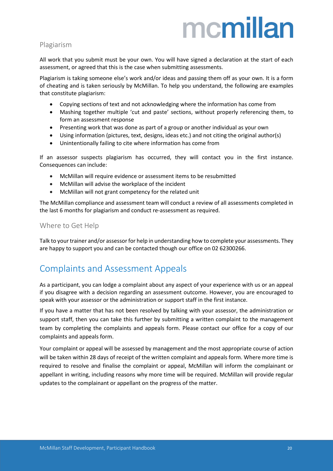#### <span id="page-19-0"></span>Plagiarism

All work that you submit must be your own. You will have signed a declaration at the start of each assessment, or agreed that this is the case when submitting assessments.

Plagiarism is taking someone else's work and/or ideas and passing them off as your own. It is a form of cheating and is taken seriously by McMillan. To help you understand, the following are examples that constitute plagiarism:

- Copying sections of text and not acknowledging where the information has come from
- Mashing together multiple 'cut and paste' sections, without properly referencing them, to form an assessment response
- Presenting work that was done as part of a group or another individual as your own
- Using information (pictures, text, designs, ideas etc.) and not citing the original author(s)
- Unintentionally failing to cite where information has come from

If an assessor suspects plagiarism has occurred, they will contact you in the first instance. Consequences can include:

- McMillan will require evidence or assessment items to be resubmitted
- McMillan will advise the workplace of the incident
- McMillan will not grant competency for the related unit

The McMillan compliance and assessment team will conduct a review of all assessments completed in the last 6 months for plagiarism and conduct re-assessment as required.

#### <span id="page-19-1"></span>Where to Get Help

Talk to your trainer and/or assessor for help in understanding how to complete your assessments. They are happy to support you and can be contacted though our office on 02 62300266.

### <span id="page-19-2"></span>Complaints and Assessment Appeals

As a participant, you can lodge a complaint about any aspect of your experience with us or an appeal if you disagree with a decision regarding an assessment outcome. However, you are encouraged to speak with your assessor or the administration or support staff in the first instance.

If you have a matter that has not been resolved by talking with your assessor, the administration or support staff, then you can take this further by submitting a written complaint to the management team by completing the complaints and appeals form. Please contact our office for a copy of our complaints and appeals form.

Your complaint or appeal will be assessed by management and the most appropriate course of action will be taken within 28 days of receipt of the written complaint and appeals form. Where more time is required to resolve and finalise the complaint or appeal, McMillan will inform the complainant or appellant in writing, including reasons why more time will be required. McMillan will provide regular updates to the complainant or appellant on the progress of the matter.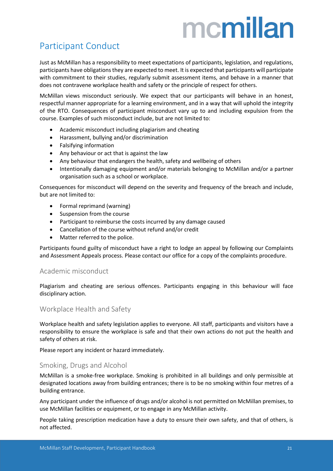### <span id="page-20-0"></span>Participant Conduct

Just as McMillan has a responsibility to meet expectations of participants, legislation, and regulations, participants have obligations they are expected to meet. It is expected that participants will participate with commitment to their studies, regularly submit assessment items, and behave in a manner that does not contravene workplace health and safety or the principle of respect for others.

McMillan views misconduct seriously. We expect that our participants will behave in an honest, respectful manner appropriate for a learning environment, and in a way that will uphold the integrity of the RTO. Consequences of participant misconduct vary up to and including expulsion from the course. Examples of such misconduct include, but are not limited to:

- Academic misconduct including plagiarism and cheating
- Harassment, bullying and/or discrimination
- Falsifying information
- Any behaviour or act that is against the law
- Any behaviour that endangers the health, safety and wellbeing of others
- Intentionally damaging equipment and/or materials belonging to McMillan and/or a partner organisation such as a school or workplace.

Consequences for misconduct will depend on the severity and frequency of the breach and include, but are not limited to:

- Formal reprimand (warning)
- Suspension from the course
- Participant to reimburse the costs incurred by any damage caused
- Cancellation of the course without refund and/or credit
- Matter referred to the police.

Participants found guilty of misconduct have a right to lodge an appeal by following our Complaints and Assessment Appeals process. Please contact our office for a copy of the complaints procedure.

#### <span id="page-20-1"></span>Academic misconduct

Plagiarism and cheating are serious offences. Participants engaging in this behaviour will face disciplinary action.

#### <span id="page-20-2"></span>Workplace Health and Safety

Workplace health and safety legislation applies to everyone. All staff, participants and visitors have a responsibility to ensure the workplace is safe and that their own actions do not put the health and safety of others at risk.

Please report any incident or hazard immediately.

#### <span id="page-20-3"></span>Smoking, Drugs and Alcohol

McMillan is a smoke-free workplace. Smoking is prohibited in all buildings and only permissible at designated locations away from building entrances; there is to be no smoking within four metres of a building entrance.

Any participant under the influence of drugs and/or alcohol is not permitted on McMillan premises, to use McMillan facilities or equipment, or to engage in any McMillan activity.

People taking prescription medication have a duty to ensure their own safety, and that of others, is not affected.